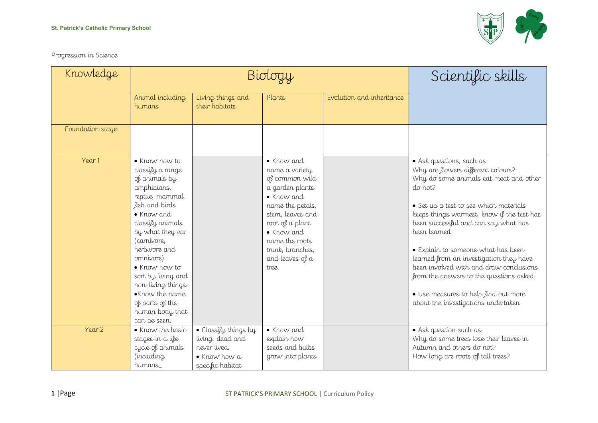

Progression in Science

| Knowledge        |                                                                                                                                                                                                                                                                                                                                                         | Biology                                                                                              | Scientific skills                                                                                                                                                                                                                  |                           |                                                                                                                                                                                                                                                                                                                                                                                                                                                                                                                                  |
|------------------|---------------------------------------------------------------------------------------------------------------------------------------------------------------------------------------------------------------------------------------------------------------------------------------------------------------------------------------------------------|------------------------------------------------------------------------------------------------------|------------------------------------------------------------------------------------------------------------------------------------------------------------------------------------------------------------------------------------|---------------------------|----------------------------------------------------------------------------------------------------------------------------------------------------------------------------------------------------------------------------------------------------------------------------------------------------------------------------------------------------------------------------------------------------------------------------------------------------------------------------------------------------------------------------------|
|                  | Animal including<br>humans                                                                                                                                                                                                                                                                                                                              | Living things and<br>their habitats                                                                  | Plants                                                                                                                                                                                                                             | Evolution and inheritance |                                                                                                                                                                                                                                                                                                                                                                                                                                                                                                                                  |
| Foundation stage |                                                                                                                                                                                                                                                                                                                                                         |                                                                                                      |                                                                                                                                                                                                                                    |                           |                                                                                                                                                                                                                                                                                                                                                                                                                                                                                                                                  |
| Year 1           | $\bullet$ Know how to<br>classify a range<br>of animals by<br>amphibians,<br>reptile, mammal,<br>fish and birds<br>• Know and<br>classify animals<br>by what they ear<br>(carnivore,<br>herbivore and<br>omnivore)<br>• Know how to<br>sort by living and<br>non-living things.<br>•Know the name<br>of parts of the<br>human body that<br>can be seen. |                                                                                                      | • Know and<br>name a variety<br>of common wild<br>a garden plants<br>$\bullet$ Know and<br>name the petals,<br>stem, leaves and<br>root of a plant<br>• Know and<br>name the roots<br>trunk, branches,<br>and leaves of a<br>tree. |                           | • Ask questions, such as<br>Why are flowers different colours?<br>Why do some animals eat meat and other<br>$d\sigma$ not?<br>• Set up a test to see which materials<br>keeps things warmest, know if the test has<br>been successful and can say what has<br>been learned<br>• Explain to someone what has been<br>learned from an investigation they have<br>been involved with and draw conclusions<br>from the answers to the questions asked<br>· Use measures to help find out more<br>about the investigations undertaken |
| Year 2           | • Know the basic<br>stages in a life<br>cycle of animals<br>(including<br>humans                                                                                                                                                                                                                                                                        | · Classify things by<br>living, dead and<br>never lived.<br>$\bullet$ Know how a<br>specific habitat | • Know and<br>explain how<br>seeds and bulbs<br>grow into plants                                                                                                                                                                   |                           | • Ask question such as<br>Why do some trees lose their leaves in<br>Autumn and others do not?<br>How long are roots of tall trees?                                                                                                                                                                                                                                                                                                                                                                                               |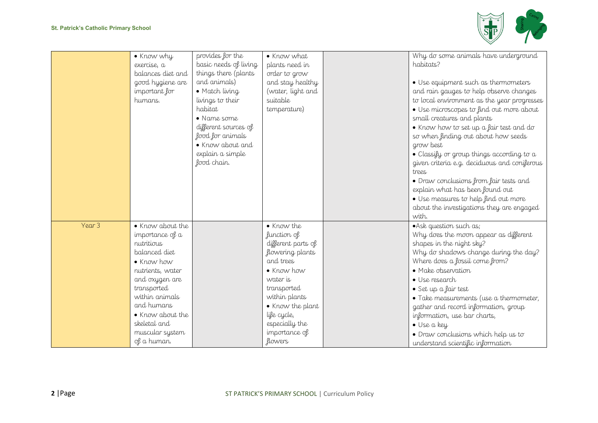

|        | • Know why<br>exercise, a<br>balances diet and<br>good hygiene are<br>important for<br>humans.                                                                                                                                              | provides for the<br>basic needs of living<br>things there (plants<br>and animals)<br>• Match living<br>livings to their<br>habitat<br>• Name some<br>different sources of<br>food for animals<br>• Know about and<br>explain a simple<br>food chain. | • Know what<br>plants need in<br>order to grow<br>and stay healthy<br>(water, light and<br>suitable<br>temperature)                                                                                                                        | Why do some animals have underground<br>habitats?<br>· Use equipment such as thermometers<br>and rain gauges to help observe changes<br>to local environment as the year progresses<br>· Use microscopes to find out more about<br>small creatures and plants<br>• Know how to set up a fair test and do<br>so when finding out about how seeds<br>grow best<br>• Classify or group things according to $a$<br>given criteria e.g. deciduous and coniferous<br>trees<br>• Draw conclusions from fair tests and<br>explain what has been found out<br>· Use measures to help find out more<br>about the investigations they are engaged<br>with. |
|--------|---------------------------------------------------------------------------------------------------------------------------------------------------------------------------------------------------------------------------------------------|------------------------------------------------------------------------------------------------------------------------------------------------------------------------------------------------------------------------------------------------------|--------------------------------------------------------------------------------------------------------------------------------------------------------------------------------------------------------------------------------------------|-------------------------------------------------------------------------------------------------------------------------------------------------------------------------------------------------------------------------------------------------------------------------------------------------------------------------------------------------------------------------------------------------------------------------------------------------------------------------------------------------------------------------------------------------------------------------------------------------------------------------------------------------|
| Year 3 | • Know about the<br>importance of a<br>nutritious<br>balanced diet<br>• Know how<br>nutrients, water<br>and oxygen are<br>transported<br>within animals<br>and humans<br>• Know about the<br>skeletal and<br>muscular system<br>of a human. |                                                                                                                                                                                                                                                      | • Know the<br>function of<br>different parts of<br>flowering plants<br>and trees<br>$\bullet$ Know how<br>water is<br>transported<br>within plants<br>• Know the plant<br>life cycle,<br>especially the<br>importance of<br><i>flowers</i> | • Ask question such as;<br>Why does the moon appear as different<br>shapes in the night sky?<br>Why do shadows change during the day?<br>Where does a fossil come from?<br>• Make observation<br>· Use research<br>· Set up a fair test<br>• Take measurements (use a thermometer,<br>gather and record information, group<br>information, use bar charts,<br>· Use a key<br>• Draw conclusions which help us to<br>understand scientific information                                                                                                                                                                                           |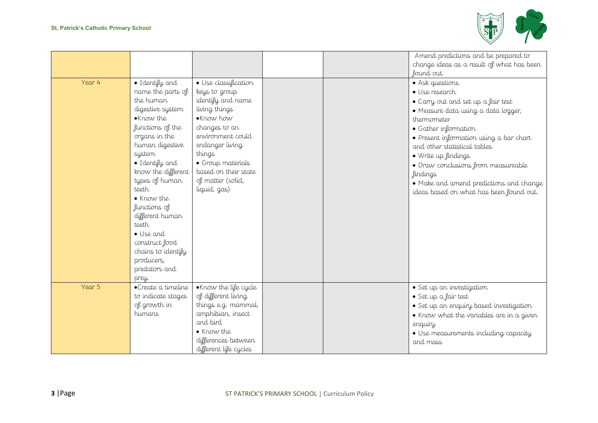

|        |                                                                                                                                                                                                                                                                                                                                                                               |                                                                                                                                                                                                                                               |  | Amend predictions and be prepared to<br>change ideas as a result of what has been<br>found out.                                                                                                                                                                                                                                                                                                         |
|--------|-------------------------------------------------------------------------------------------------------------------------------------------------------------------------------------------------------------------------------------------------------------------------------------------------------------------------------------------------------------------------------|-----------------------------------------------------------------------------------------------------------------------------------------------------------------------------------------------------------------------------------------------|--|---------------------------------------------------------------------------------------------------------------------------------------------------------------------------------------------------------------------------------------------------------------------------------------------------------------------------------------------------------------------------------------------------------|
| Year 4 | · Identify and<br>name the parts of<br>the human<br>digestive system<br>•Know the<br>functions of the<br>organs in the<br>human digestive<br>system<br>· Identify and<br>know the different<br>types of human<br>teeth<br>• Know the<br>functions of<br>different human<br>teeth<br>• Use and<br>construct food<br>chains to identify<br>producers,<br>predators and<br>prey. | · Use classification<br>keys to group<br>identify and name<br>living things<br>•Know how<br>changes to an<br>environment could<br>endanger living<br>things<br>• Group materials<br>based on their state<br>of matter (solid,<br>liquid, gas) |  | • Ask questions<br>• Use research<br>• Carry out and set up a fair test<br>· Measure data using a data logger,<br>thermometer<br>• Gather information<br>• Present information using a bar chart<br>and other statistical tables<br>· Write up findings<br>• Draw conclusions from measureable<br><i>findings</i><br>• Make and amend predictions and change<br>ideas based on what has been found out. |
| Year 5 | • Create a timeline<br>to indicate stages<br>of growth in<br>humans                                                                                                                                                                                                                                                                                                           | .Know the life cycle<br>of different living<br>things e.g. mammal,<br>amphibian, insect<br>and bird<br>• Know the<br>differences between<br>different life cycles                                                                             |  | · Set up an investigation<br>· Set up a fair test<br>• Set up an enquiry based investigation<br>• Know what the variables are in a given<br>enquiry<br>· Use measurements including capacity<br>and mass                                                                                                                                                                                                |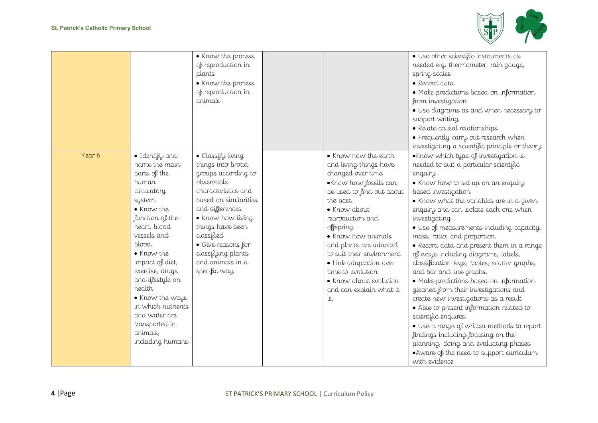

|        |                                                                                                                                                                                                                                                                                                                                                           | • Know the process<br>of reproduction in<br>plants<br>• Know the process<br>of reproduction in<br>animals                                                                                                                                                                              |                                                                                                                                                                                                                                                                                                                                                                                  | · Use other scientific instruments as<br>needed e.g. thermometer, rain gauge,<br>spring scales<br>· Record data<br>· Make predictions based on information<br>from investigation<br>· Use diagrams as and when necessary to<br>support writing<br>• Relate causal relationships<br>· Frequently carry out research when<br>investigating a scientific principle or theory                                                                                                                                                                                                                                                                                                                                                                                                                                                                                                                           |
|--------|-----------------------------------------------------------------------------------------------------------------------------------------------------------------------------------------------------------------------------------------------------------------------------------------------------------------------------------------------------------|----------------------------------------------------------------------------------------------------------------------------------------------------------------------------------------------------------------------------------------------------------------------------------------|----------------------------------------------------------------------------------------------------------------------------------------------------------------------------------------------------------------------------------------------------------------------------------------------------------------------------------------------------------------------------------|-----------------------------------------------------------------------------------------------------------------------------------------------------------------------------------------------------------------------------------------------------------------------------------------------------------------------------------------------------------------------------------------------------------------------------------------------------------------------------------------------------------------------------------------------------------------------------------------------------------------------------------------------------------------------------------------------------------------------------------------------------------------------------------------------------------------------------------------------------------------------------------------------------|
| Year 6 | · Identify and<br>name the main<br>parts of the<br>human<br>circulatory<br>system<br>• Know the<br>function of the<br>heart, blood<br>vessels and<br>blood.<br>• Know the<br>impact of diet,<br>exercise, drugs<br>and lifestyle on<br>health<br>. Know the ways<br>in which nutrients<br>and water are<br>transported in<br>animals,<br>including humans | · Classify living<br>things into broad<br>groups according to<br>observable<br>characteristics and<br>based on similarities<br>and differences.<br>• Know how living<br>things have been<br>classified<br>· Give reasons for<br>classifying plants<br>and animals in a<br>specific way | • Know how the earth<br>and living things have<br>changed over time.<br>.Know how fossils can<br>be used to find out about<br>the past.<br>• Know about<br>reproduction and<br>offspring<br>• Know how animals<br>and plants are adapted<br>to suit their environment<br>• Link adaptation over<br>time to evolution<br>• Know about evolution<br>and can explain what it<br>is. | .Know which type of investigation is<br>needed to suit a particular scientific<br>enquiry<br>. Know how to set up on an enquiry<br>based investigation<br>• Know what the variables are in a given<br>enquiry and can isolate each one when<br>investigating<br>· Use of measurements including capacity,<br>mass, ratio, and proportion<br>• Record data and present them in a range<br>of ways including diagrams, labels,<br>classification keys, tables, scatter graphs,<br>and bar and line graphs.<br>· Make predictions based on information<br>gleaned from their investigations and<br>create new investigations as a result<br>• Able to present information related to<br>scientific enquires<br>· Use a range of written methods to report<br>findings including focusing on the<br>planning, doing and evaluating phases<br>. Aware of the need to support curriculum<br>with evidence |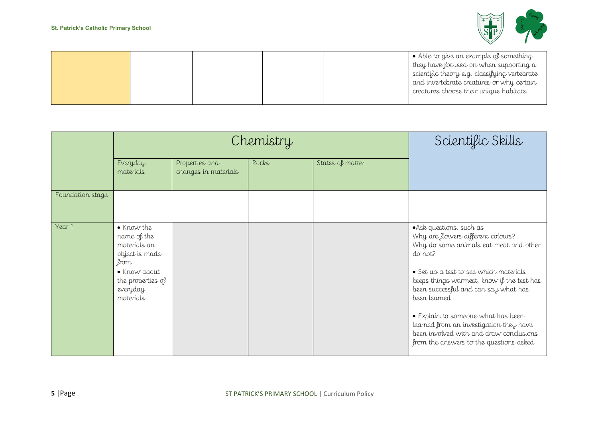

|  |  | $\bullet$ Able to give an example of something<br>they have focused on when supporting a<br>scientific theory e.g. classifying vertebrate<br>and invertebrate creatures or why certain<br>creatures choose their unique habitats. |
|--|--|-----------------------------------------------------------------------------------------------------------------------------------------------------------------------------------------------------------------------------------|
|  |  |                                                                                                                                                                                                                                   |

|                  |                                                                                                                                   | Chemistry                              | Scientific Skills |                  |                                                                                                                                                                                                                                                                                                                                                                                                                                            |
|------------------|-----------------------------------------------------------------------------------------------------------------------------------|----------------------------------------|-------------------|------------------|--------------------------------------------------------------------------------------------------------------------------------------------------------------------------------------------------------------------------------------------------------------------------------------------------------------------------------------------------------------------------------------------------------------------------------------------|
|                  | Everyday<br>materials                                                                                                             | Properties and<br>changes in materials | Rocks             | States of matter |                                                                                                                                                                                                                                                                                                                                                                                                                                            |
| Foundation stage |                                                                                                                                   |                                        |                   |                  |                                                                                                                                                                                                                                                                                                                                                                                                                                            |
| Year 1           | • Know the<br>name of the<br>materials an<br>object is made<br>from<br>• Know about<br>the properties of<br>everyday<br>materials |                                        |                   |                  | • Ask questions, such as<br>Why are flowers different colours?<br>Why do some animals eat meat and other<br>do not?<br>• Set up a test to see which materials<br>keeps things warmest, know if the test has<br>been successful and can say what has<br>been learned<br>• Explain to someone what has been<br>learned from an investigation they have<br>been involved with and draw conclusions<br>from the answers to the questions asked |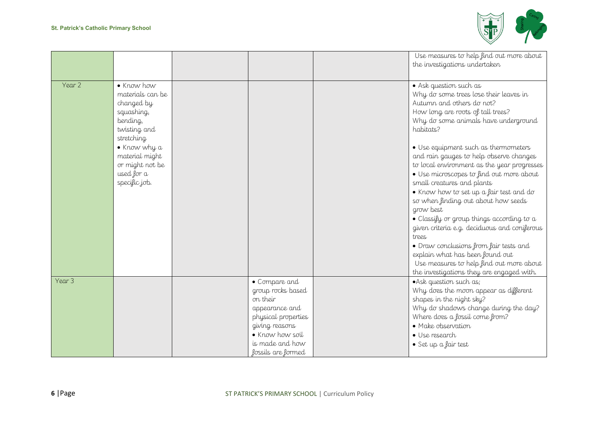

|        |                                                                                                                                                                                          |                                                                                                                                                                       | Use measures to help find out more about<br>the investigations undertaken                                                                                                                                                                                                                                                                                                                                                                                                                                                                                                                                                                                                                                                                 |
|--------|------------------------------------------------------------------------------------------------------------------------------------------------------------------------------------------|-----------------------------------------------------------------------------------------------------------------------------------------------------------------------|-------------------------------------------------------------------------------------------------------------------------------------------------------------------------------------------------------------------------------------------------------------------------------------------------------------------------------------------------------------------------------------------------------------------------------------------------------------------------------------------------------------------------------------------------------------------------------------------------------------------------------------------------------------------------------------------------------------------------------------------|
| Year 2 | • Know how<br>materials can be<br>changed by<br>squashing,<br>bending,<br>twisting and<br>stretching<br>· Know why a<br>material might<br>or might not be<br>used for a<br>specific job. |                                                                                                                                                                       | • Ask question such as<br>Why do some trees lose their leaves in<br>Autumn and others do not?<br>How long are roots of tall trees?<br>Why do some animals have underground<br>habitats?<br>• Use equipment such as thermometers<br>and rain gauges to help observe changes<br>to local environment as the year progresses<br>· Use microscopes to find out more about<br>small creatures and plants<br>. Know how to set up a fair test and do<br>so when finding out about how seeds<br>grow best<br>$\bullet$ Classify or group things according to a<br>given criteria e.g. deciduous and coniferous<br>trees<br>• Draw conclusions from fair tests and<br>explain what has been found out<br>Use measures to help find out more about |
| Year 3 |                                                                                                                                                                                          | • Compare and<br>group rocks based<br>on their<br>appearance and<br>physical properties<br>giving reasons<br>• Know how soil<br>is made and how<br>fossils are formed | the investigations they are engaged with.<br>• Ask question such as;<br>Why does the moon appear as different<br>shapes in the night sky?<br>Why do shadows change during the day?<br>Where does a fossil come from?<br>• Make observation<br>· Use research<br>• Set up a fair test                                                                                                                                                                                                                                                                                                                                                                                                                                                      |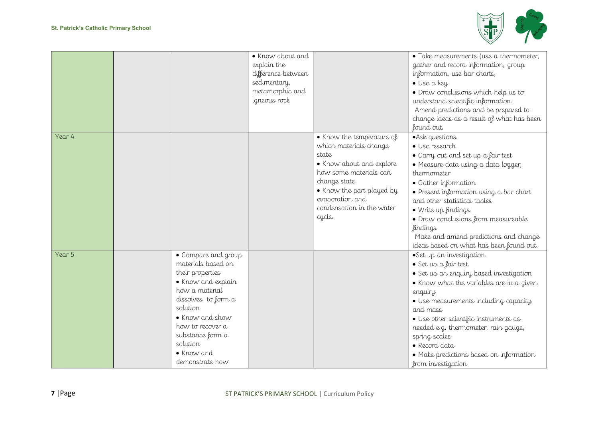

|        |                     | • Know about and   |                           | · Take measurements (use a thermometer,   |
|--------|---------------------|--------------------|---------------------------|-------------------------------------------|
|        |                     | explain the        |                           | gather and record information, group      |
|        |                     | difference between |                           | information, use bar charts,              |
|        |                     | sedimentary,       |                           | · Use a key                               |
|        |                     | metamorphic and    |                           | · Draw conclusions which help us to       |
|        |                     | igneous rock       |                           | understand scientific information         |
|        |                     |                    |                           | Amend predictions and be prepared to      |
|        |                     |                    |                           | change ideas as a result of what has been |
|        |                     |                    |                           | found out.                                |
| Year 4 |                     |                    | • Know the temperature of | • Ask questions                           |
|        |                     |                    | which materials change    | • Use research                            |
|        |                     |                    | state                     | • Carry out and set up a fair test        |
|        |                     |                    | • Know about and explore  | · Measure data using a data logger,       |
|        |                     |                    | how some materials can    | thermometer                               |
|        |                     |                    | change state              | • Gather information                      |
|        |                     |                    | • Know the part played by | • Present information using a bar chart   |
|        |                     |                    | evaporation and           | and other statistical tables              |
|        |                     |                    | condensation in the water | • Write up findings                       |
|        |                     |                    | cycle.                    | · Draw conclusions from measureable       |
|        |                     |                    |                           | <i>findings</i>                           |
|        |                     |                    |                           | Make and amend predictions and change     |
|        |                     |                    |                           | ideas based on what has been found out.   |
| Year 5 | • Compare and group |                    |                           | ·Set up an investigation                  |
|        | materials based on  |                    |                           | · Set up a fair test                      |
|        | their properties    |                    |                           | · Set up an enquiry based investigation   |
|        | • Know and explain  |                    |                           | • Know what the variables are in a given  |
|        | how a material      |                    |                           | enquiry                                   |
|        | dissolves to form a |                    |                           | · Use measurements including capacity     |
|        | solution            |                    |                           | and mass                                  |
|        | • Know and show     |                    |                           | · Use other scientific instruments as     |
|        | how to recover a    |                    |                           | needed e.g. thermometer, rain gauge,      |
|        | substance form a    |                    |                           | spring scales                             |
|        | solution            |                    |                           | • Record data                             |
|        | $\bullet$ Know and  |                    |                           | • Make predictions based on information   |
|        | demonstrate how     |                    |                           | from investigation                        |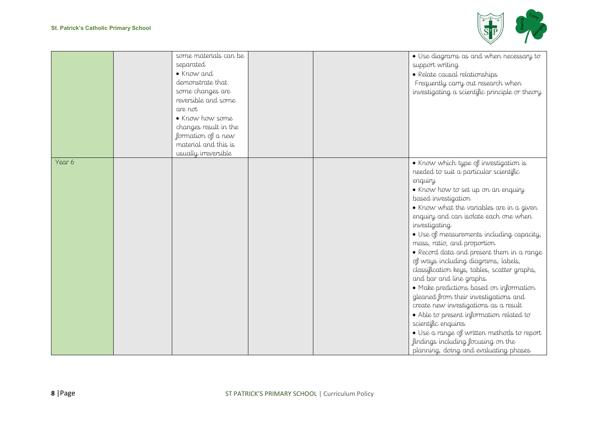

|        | some materials can be<br>separated<br>• Know and<br>demonstrate that<br>some changes are<br>reversible and some<br>are not<br>• Know how some<br>changes result in the<br>formation of a new<br>material and this is<br>usually irreversible |  | · Use diagrams as and when necessary to<br>support writing<br>· Relate causal relationships<br>Frequently carry out research when<br>investigating a scientific principle or theory                                                                                                                                                                                                                                                                                                                                                                                                                                                                                                                                                                                                                                                    |
|--------|----------------------------------------------------------------------------------------------------------------------------------------------------------------------------------------------------------------------------------------------|--|----------------------------------------------------------------------------------------------------------------------------------------------------------------------------------------------------------------------------------------------------------------------------------------------------------------------------------------------------------------------------------------------------------------------------------------------------------------------------------------------------------------------------------------------------------------------------------------------------------------------------------------------------------------------------------------------------------------------------------------------------------------------------------------------------------------------------------------|
| Year 6 |                                                                                                                                                                                                                                              |  | . Know which type of investigation is<br>needed to suit a particular scientific<br>enquiry<br>. Know how to set up on an enquiry<br>based investigation<br>• Know what the variables are in a given<br>enquiry and can isolate each one when<br>investigating<br>· Use of measurements including capacity,<br>mass, ratio, and proportion<br>• Record data and present them in a range<br>of ways including diagrams, labels,<br>classification keys, tables, scatter graphs,<br>and bar and line graphs.<br>• Make predictions based on information<br>gleaned from their investigations and<br>create new investigations as a result<br>• Able to present information related to<br>scientific enquires<br>· Use a range of written methods to report<br>findings including focusing on the<br>planning, doing and evaluating phases |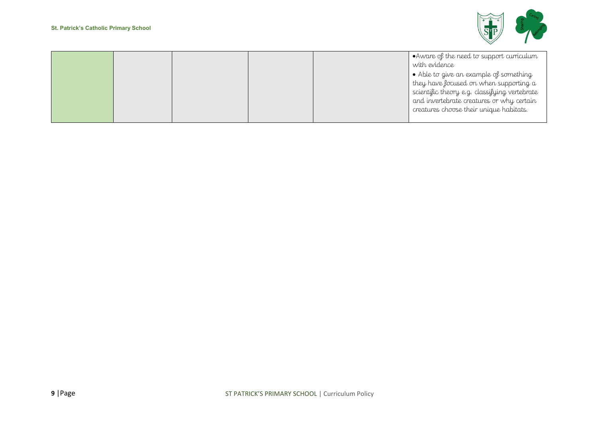

|  |  | $\bullet$ Aware of the need to support curriculum |
|--|--|---------------------------------------------------|
|  |  | with evidence                                     |
|  |  | • Able to give an example of something            |
|  |  | they have focused on when supporting a            |
|  |  | scientific theory e.g. classifying vertebrate     |
|  |  | and invertebrate creatures or why certain         |
|  |  | creatures choose their unique habitats.           |
|  |  |                                                   |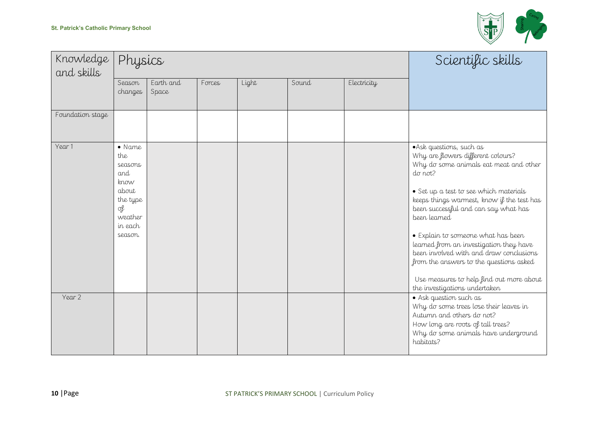

| Knowledge<br>and skills | Physics                                                                                                     |                    |        |       |       |             | Scientific skills                                                                                                                                                                                                                                                                                                                                                                                                                                                                                                       |
|-------------------------|-------------------------------------------------------------------------------------------------------------|--------------------|--------|-------|-------|-------------|-------------------------------------------------------------------------------------------------------------------------------------------------------------------------------------------------------------------------------------------------------------------------------------------------------------------------------------------------------------------------------------------------------------------------------------------------------------------------------------------------------------------------|
|                         | Season<br>changes                                                                                           | Earth and<br>Space | Forces | Light | Sound | Electricity |                                                                                                                                                                                                                                                                                                                                                                                                                                                                                                                         |
| Foundation stage        |                                                                                                             |                    |        |       |       |             |                                                                                                                                                                                                                                                                                                                                                                                                                                                                                                                         |
| Year 1                  | $\bullet$ Name<br>the<br>seasons<br>and<br>know<br>about<br>the type<br>of<br>weather<br>in each<br>season. |                    |        |       |       |             | • Ask questions, such as<br>Why are flowers different colours?<br>Why do some animals eat meat and other<br>do not?<br>• Set up a test to see which materials<br>keeps things warmest, know if the test has<br>been successful and can say what has<br>been learned<br>• Explain to someone what has been<br>learned from an investigation they have<br>been involved with and draw conclusions<br>from the answers to the questions asked<br>Use measures to help find out more about<br>the investigations undertaken |
| Year 2                  |                                                                                                             |                    |        |       |       |             | • Ask question such as<br>Why do some trees lose their leaves in<br>Autumn and others do not?<br>How long are roots of tall trees?<br>Why do some animals have underground<br>habitats?                                                                                                                                                                                                                                                                                                                                 |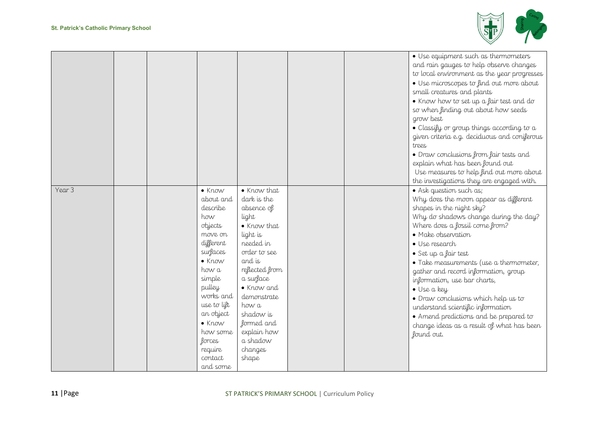

|        |  |                                                                                                                                                                                                                                                                 |                                                                                                                                                                                                                                                                    |  | · Use equipment such as thermometers<br>and rain gauges to help observe changes<br>to local environment as the year progresses<br>· Use microscopes to find out more about<br>small creatures and plants<br>• Know how to set up a fair test and do<br>so when finding out about how seeds<br>grow best<br>• Classify or group things according to $a$<br>given criteria e.g. deciduous and coniferous<br>trees<br>• Draw conclusions from fair tests and<br>explain what has been found out<br>Use measures to help find out more about<br>the investigations they are engaged with. |
|--------|--|-----------------------------------------------------------------------------------------------------------------------------------------------------------------------------------------------------------------------------------------------------------------|--------------------------------------------------------------------------------------------------------------------------------------------------------------------------------------------------------------------------------------------------------------------|--|---------------------------------------------------------------------------------------------------------------------------------------------------------------------------------------------------------------------------------------------------------------------------------------------------------------------------------------------------------------------------------------------------------------------------------------------------------------------------------------------------------------------------------------------------------------------------------------|
| Year 3 |  | $\bullet$ Know<br>about and<br>describe<br>how<br>objects<br>move on<br>different<br>surfaces<br>$\bullet$ Know<br>how a<br>simple<br>pulley<br>works and<br>use to lift<br>an object<br>$\bullet$ Know<br>how some<br>forces<br>require<br>contact<br>and some | • Know that<br>dark is the<br>absence of<br>light<br>• Know that<br>light is<br>needed in<br>order to see<br>and is<br>reflected from<br>a surface<br>• Know and<br>demonstrate<br>how a<br>shadow is<br>formed and<br>explain how<br>a shadow<br>changes<br>shape |  | • Ask question such as;<br>Why does the moon appear as different<br>shapes in the night sky?<br>Why do shadows change during the day?<br>Where does a fossil come from?<br>· Make observation<br>· Use research<br>· Set up a fair test<br>• Take measurements (use a thermometer,<br>gather and record information, group<br>information, use bar charts,<br>· Use a key<br>· Draw conclusions which help us to<br>understand scientific information<br>• Amend predictions and be prepared to<br>change ideas as a result of what has been<br>found out.                            |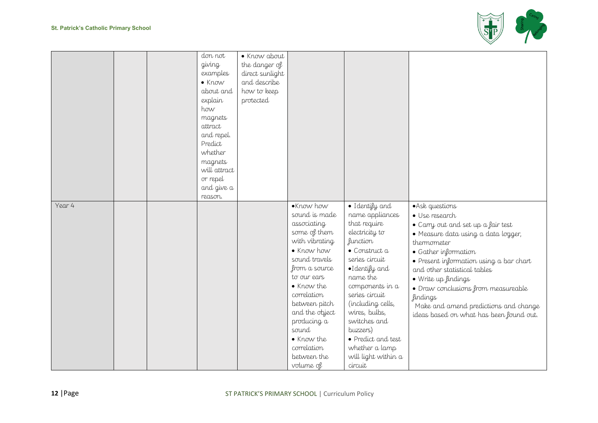

| Year 4 |  | don not<br>giving<br>examples<br>$\bullet$ Know<br>about and<br>explain<br>how<br>magnets<br>attract<br>and repel.<br>Predict<br>whether<br>magnets<br>will attract<br>or repel<br>and give a<br>reason. | · Know about<br>the danger of<br>direct sunlight<br>and describe<br>how to keep<br>protected | •Know how                                                                                                                                                                                                                                                                      | · Identify and                                                                                                                                                                                                                                                                                                                        | • Ask questions                                                                                                                                                                                                                                                                                                                                                                    |
|--------|--|----------------------------------------------------------------------------------------------------------------------------------------------------------------------------------------------------------|----------------------------------------------------------------------------------------------|--------------------------------------------------------------------------------------------------------------------------------------------------------------------------------------------------------------------------------------------------------------------------------|---------------------------------------------------------------------------------------------------------------------------------------------------------------------------------------------------------------------------------------------------------------------------------------------------------------------------------------|------------------------------------------------------------------------------------------------------------------------------------------------------------------------------------------------------------------------------------------------------------------------------------------------------------------------------------------------------------------------------------|
|        |  |                                                                                                                                                                                                          |                                                                                              | sound is made<br>associating<br>some of them<br>with vibrating<br>• Know how<br>sound travels<br>from a source<br>to our ears<br>• Know the<br>correlation<br>between pitch<br>and the object<br>producing a<br>sound<br>• Know the<br>correlation<br>between the<br>volume of | name appliances<br>that require<br>electricity to<br><i>function</i><br>$\bullet$ Construct $\alpha$<br>series circuit<br>·I dentify and<br>name the<br>components in a<br>series circuit<br>(including cells,<br>wires, bulbs,<br>switches and<br>buzzers)<br>• Predict and test<br>whether a lamp<br>will light within a<br>circuit | · Use research<br>• Carry out and set up a fair test<br>· Measure data using a data logger,<br>thermometer<br>• Gather information<br>• Present information using a bar chart<br>and other statistical tables<br>· Write up findings<br>· Draw conclusions from measureable<br><i>findings</i><br>Make and amend predictions and change<br>ideas based on what has been found out. |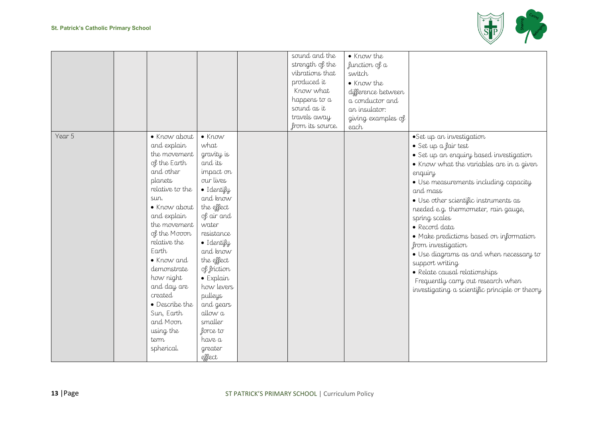

|        |                                                                                                                                                                                                                                                                                                                                                           |                                                                                                                                                                                                                                                                                                                                           | sound and the<br>strength of the<br>vibrations that<br>produced it<br>Know what<br>happens to a<br>sound as it<br>travels away<br>from its source. | • Know the<br>function of a<br>switch<br>• Know the<br>difference between<br>a conductor and<br>an insulator:<br>giving examples of<br>each |                                                                                                                                                                                                                                                                                                                                                                                                                                                                                                                                                                                    |
|--------|-----------------------------------------------------------------------------------------------------------------------------------------------------------------------------------------------------------------------------------------------------------------------------------------------------------------------------------------------------------|-------------------------------------------------------------------------------------------------------------------------------------------------------------------------------------------------------------------------------------------------------------------------------------------------------------------------------------------|----------------------------------------------------------------------------------------------------------------------------------------------------|---------------------------------------------------------------------------------------------------------------------------------------------|------------------------------------------------------------------------------------------------------------------------------------------------------------------------------------------------------------------------------------------------------------------------------------------------------------------------------------------------------------------------------------------------------------------------------------------------------------------------------------------------------------------------------------------------------------------------------------|
| Year 5 | · Know about<br>and explain<br>the movement<br>of the Earth<br>and other<br>planets<br>relative to the<br>sun.<br>• Know about<br>and explain<br>the movement<br>of the Mooon<br>relative the<br>Earth<br>• Know and<br>demonstrate<br>how night<br>and day are<br>created<br>• Describe the<br>Sun, Earth<br>and Moon<br>using the<br>term<br>spherical. | $\bullet$ Know<br>what<br>gravity is<br>and its<br>impact on<br>our lives<br>· Identify<br>and know<br>the effect<br>of air and<br>water<br>resistance<br>· Identify<br>and know<br>the effect<br>of friction<br>$\bullet$ Explain<br>how levers<br>pulleys<br>and gears<br>allow a<br>smaller<br>force to<br>have a<br>greater<br>effect |                                                                                                                                                    |                                                                                                                                             | ·Set up an investigation<br>· Set up a fair test<br>· Set up an enquiry based investigation<br>• Know what the variables are in a given<br>enquiry<br>· Use measurements including capacity<br>and mass<br>· Use other scientific instruments as<br>needed e.g. thermometer, rain gauge,<br>spring scales<br>• Record data<br>· Make predictions based on information<br>from investigation<br>· Use diagrams as and when necessary to<br>support writing<br>• Relate causal relationships<br>Frequently carry out research when<br>investigating a scientific principle or theory |